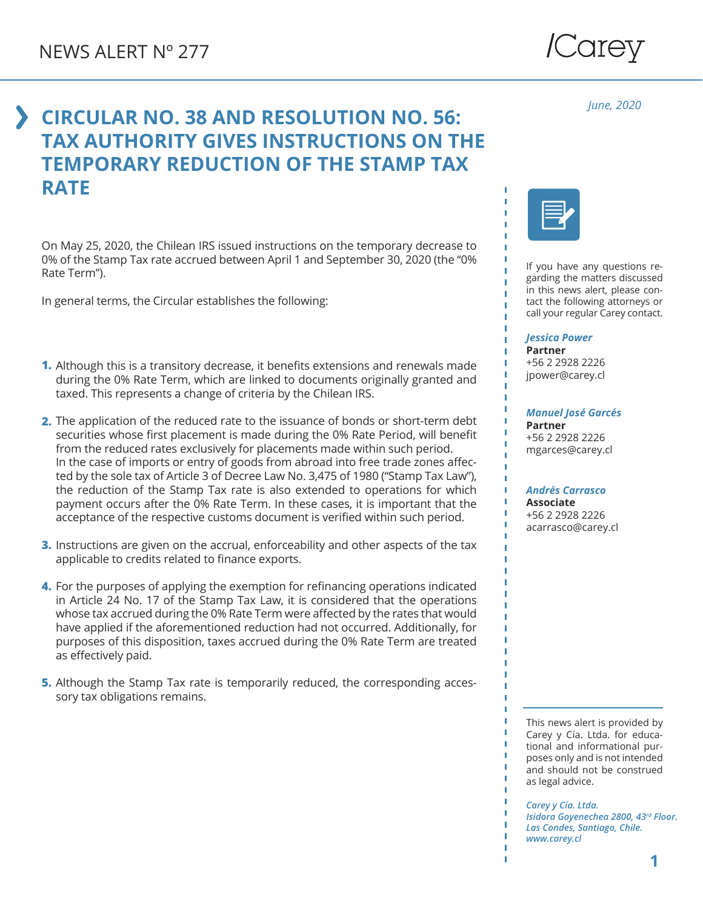

*June, 2020*

## **CIRCULAR NO. 38 AND RESOLUTION NO. 56: TAX AUTHORITY GIVES INSTRUCTIONS ON THE TEMPORARY REDUCTION OF THE STAMP TAX RATE**

On May 25, 2020, the Chilean IRS issued instructions on the temporary decrease to 0% of the Stamp Tax rate accrued between April 1 and September 30, 2020 (the "0% Rate Term").

In general terms, the Circular establishes the following:

- Although this is a transitory decrease, it benefits extensions and renewals made **1.** during the 0% Rate Term, which are linked to documents originally granted and taxed. This represents a change of criteria by the Chilean IRS.
- **2.** The application of the reduced rate to the issuance of bonds or short-term debt securities whose first placement is made during the 0% Rate Period, will benefit from the reduced rates exclusively for placements made within such period. In the case of imports or entry of goods from abroad into free trade zones affected by the sole tax of Article 3 of Decree Law No. 3,475 of 1980 ("Stamp Tax Law"), the reduction of the Stamp Tax rate is also extended to operations for which payment occurs after the 0% Rate Term. In these cases, it is important that the acceptance of the respective customs document is verified within such period.
- **3.** Instructions are given on the accrual, enforceability and other aspects of the tax applicable to credits related to finance exports.
- **4.** For the purposes of applying the exemption for refinancing operations indicated in Article 24 No. 17 of the Stamp Tax Law, it is considered that the operations whose tax accrued during the 0% Rate Term were affected by the rates that would have applied if the aforementioned reduction had not occurred. Additionally, for purposes of this disposition, taxes accrued during the 0% Rate Term are treated as effectively paid.
- **5.** Although the Stamp Tax rate is temporarily reduced, the corresponding accessory tax obligations remains.



If you have any questions regarding the matters discussed in this news alert, please contact the following attorneys or call your regular Carey contact.

## *Jessica Power*

**Partner** +56 2 2928 2226 jpower@carey.cl

## *Manuel José Garcés*

**Partner** +56 2 2928 2226 mgarces@carey.cl

## *Andrés Carrasco*

**Associate** +56 2 2928 2226 acarrasco@carey.cl

This news alert is provided by Carey y Cía. Ltda. for educational and informational purposes only and is not intended and should not be construed as legal advice.

*Carey y Cía. Ltda. Isidora Goyenechea 2800, 43rd Floor. Las Condes, Santiago, Chile. www.carey.cl*